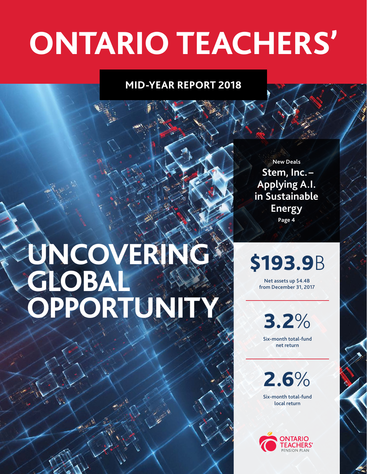# **ONTARIO TEACHERS'**

# **MID-YEAR REPORT 2018**

# UNCOVERING **GLOBAL OPPORTUNITY**

**New Deals Stem, Inc. – Applying A.I. in Sustainable Energy Page 4** 

\$193.9B

Net assets up \$4.4B from December 31, 2017

3.2% Six-month total-fund net return

2.6%

Six-month total-fund local return

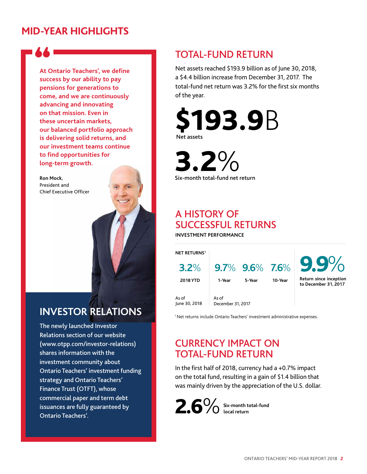# **MID-YEAR HIGHLIGHTS**



**At Ontario Teachers', we defne success by our ability to pay pensions for generations to come, and we are continuously advancing and innovating on that mission. Even in these uncertain markets, our balanced portfolio approach is delivering solid returns, and our investment teams continue to fnd opportunities for long-term growth.** 

**Ron Mock**, President and Chief Executive Officer

# **INVESTOR RELATIONS**

The newly launched Investor Relations section of our website (<www.otpp.com/investor-relations>) shares information with the investment community about Ontario Teachers' investment funding strategy and Ontario Teachers' Finance Trust (OTFT), whose commercial paper and term debt issuances are fully guaranteed by Ontario Teachers'.

# TOTAL-FUND RETURN

Net assets reached \$193.9 billion as of June 30, 2018, a \$4.4 billion increase from December 31, 2017. The total-fund net return was 3.2% for the first six months of the year.



**3.2%** Six-month total-fund net return

# A HISTORY OF SUCCESSFUL RETURNS

**INVESTMENT PERFORMANCE** 

| <b>NET RETURNS1</b>    |                            |        |         |                                                |
|------------------------|----------------------------|--------|---------|------------------------------------------------|
| $3.2\%$                |                            |        |         | 9.7% 9.6% 7.6% 9.9%                            |
| <b>2018 YTD</b>        | 1-Year                     | 5-Year | 10-Year | Return since inception<br>to December 31, 2017 |
| As of<br>June 30, 2018 | As of<br>December 31, 2017 |        |         |                                                |

<sup>1</sup> Net returns include Ontario Teachers' investment administrative expenses.

# CURRENCY IMPACT ON TOTAL-FUND RETURN

In the frst half of 2018, currency had a +0.7% impact on the total fund, resulting in a gain of \$1.4 billion that was mainly driven by the appreciation of the U.S. dollar.

2.6%**Six-month total-fund local return**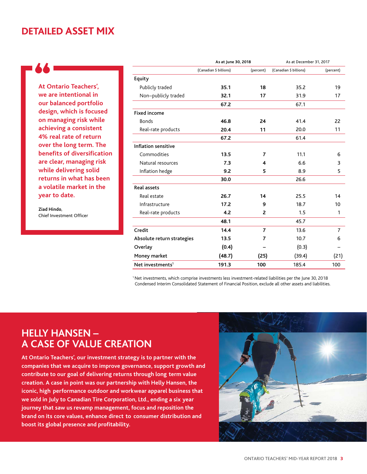# **DETAILED ASSET MIX**

**At Ontario Teachers', we are intentional in our balanced portfolio design, which is focused on managing risk while achieving a consistent 4% real rate of return over the long term. The benefts of diversifcation are clear, managing risk while delivering solid returns in what has been a volatile market in the year to date.** 

**Ziad Hindo**, Chief Investment Officer

|                              | As at June 30, 2018    |           | As at December 31, 2017 |                |
|------------------------------|------------------------|-----------|-------------------------|----------------|
|                              | (Canadian \$ billions) | (percent) | (Canadian \$ billions)  | (percent)      |
| Equity                       |                        |           |                         |                |
| Publicly traded              | 35.1                   | 18        | 35.2                    | 19             |
| Non-publicly traded          | 32.1                   | 17        | 31.9                    | 17             |
|                              | 67.2                   |           | 67.1                    |                |
| <b>Fixed income</b>          |                        |           |                         |                |
| <b>Bonds</b>                 | 46.8                   | 24        | 41.4                    | 22             |
| Real-rate products           | 20.4                   | 11        | 20.0                    | 11             |
|                              | 67.2                   |           | 61.4                    |                |
| Inflation sensitive          |                        |           |                         |                |
| Commodities                  | 13.5                   | 7         | 11.1                    | 6              |
| Natural resources            | 7.3                    | 4         | 6.6                     | 3              |
| Inflation hedge              | 9.2                    | 5         | 8.9                     | 5              |
|                              | 30.0                   |           | 26.6                    |                |
| <b>Real assets</b>           |                        |           |                         |                |
| Real estate                  | 26.7                   | 14        | 25.5                    | 14             |
| Infrastructure               | 17.2                   | 9         | 18.7                    | 10             |
| Real-rate products           | 4.2                    | 2         | 1.5                     | 1              |
|                              | 48.1                   |           | 45.7                    |                |
| Credit                       | 14.4                   | 7         | 13.6                    | $\overline{7}$ |
| Absolute return strategies   | 13.5                   | 7         | 10.7                    | 6              |
| Overlay                      | (0.4)                  |           | (0.3)                   |                |
| Money market                 | (48.7)                 | (25)      | (39.4)                  | (21)           |
| Net investments <sup>1</sup> | 191.3                  | 100       | 185.4                   | 100            |

1 Net investments, which comprise investments less investment-related liabilities per the June 30, 2018 Condensed Interim Consolidated Statement of Financial Position, exclude all other assets and liabilities.

# **HELLY HANSEN -A CASE OF VALUE CREATION**

**- contribute to our goal of delivering returns through long term value - iconic, high performance outdoor and workwear apparel business that - we sold in July to Canadian Tire Corporation, Ltd., ending a six year - - brand on its core values, enhance direct to consumer distribution and At Ontario Teachers', our investment strategy is to partner with the companies that we acquire to improve governance, support growth and creation. A case in point was our partnership with Helly Hansen, the journey that saw us revamp management, focus and reposition the boost its global presence and proftability.** 

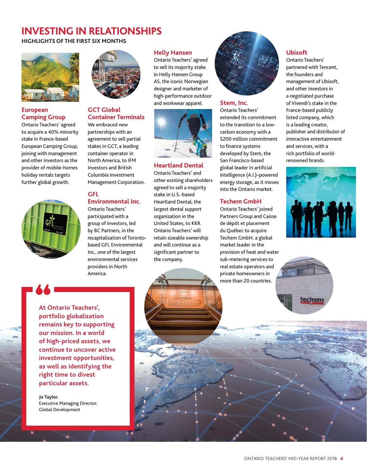# **INVESTING IN RELATIONSHIPS**

**HIGHLIGHTS OF THE FIRST SIX MONTHS** 



### **European Camping Group**

Ontario Teachers' agreed to acquire a 40% minority stake in France-based European Camping Group, joining with management and other investors as the provider of mobile-homes holiday rentals targets further global growth.



#### **GCT Global Container Terminals**

We embraced new partnerships with an agreement to sell partial stakes in GCT, a leading container operator in North America, to IFM Investors and British Columbia Investment Management Corporation.

### **GFL**

**Environmental Inc.**  Ontario Teachers' participated with a group of investors, led by BC Partners, in the recapitalization of Torontobased GFL Environmental Inc., one of the largest environmental services providers in North America.

#### **Helly Hansen**

Ontario Teachers' agreed to sell its majority stake in Helly Hansen Group AS, the iconic Norwegian designer and marketer of high-performance outdoor and workwear apparel.



#### **Heartland Dental**

Ontario Teachers' and other existing shareholders agreed to sell a majority stake in U.S.-based Heartland Dental, the largest dental support organization in the United States, to KKR. Ontario Teachers' will retain sizeable ownership and will continue as a significant partner to the company.



#### **Stem, Inc.**

Ontario Teachers' extended its commitment to the transition to a lowcarbon economy with a \$200 million commitment to finance systems developed by Stem, the San Francisco-based global leader in artificial intelligence (A.I.)–powered energy storage, as it moves into the Ontario market.

### **Techem GmbH**

Ontario Teachers' joined Partners Group and Caisse de dépôt et placement du Québec to acquire Techem GmbH, a global market leader in the provision of heat and water sub-metering services to real estate operators and private homeowners in more than 20 countries.

#### **Ubisoft**

Ontario Teachers' partnered with Tencent, the founders and management of Ubisoft, and other investors in a negotiated purchase of Vivendi's stake in the France-based publicly listed company, which is a leading creator, publisher and distributor of interactive entertainment and services, with a rich portfolio of worldrenowned brands.





**At Ontario Teachers', portfolio globalization remains key to supporting our mission. In a world of high-priced assets, we continue to uncover active investment opportunities, as well as identifying the right time to divest particular assets.** 

**Jo Taylor**, Executive Managing Director, Global Development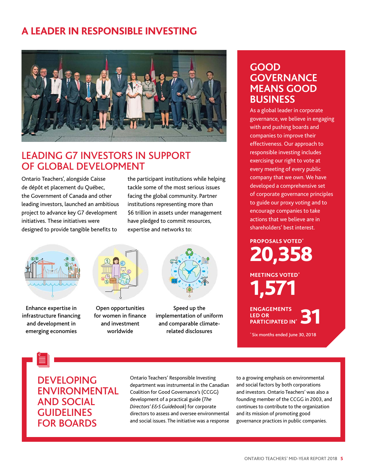# **A LEADER IN RESPONSIBLE INVESTING**



# LEADING G7 INVESTORS IN SUPPORT OF GLOBAL DEVELOPMENT

de dépôt et placement du Québec, tackle some of the most serious issues the Government of Canada and other facing the global community. Partner leading investors, launched an ambitious institutions representing more than project to advance key G7 development \$6 trillion in assets under management initiatives. These initiatives were have pledged to commit resources, designed to provide tangible benefits to expertise and networks to:

Ontario Teachers', alongside Caisse the participant institutions while helping



Enhance expertise in infrastructure financing and development in emerging economies



Open opportunities for women in finance and investment worldwide



Speed up the implementation of uniform and comparable climaterelated disclosures

# **GOOD GOVERNANCE MEANS GOOD BUSINESS**

As a global leader in corporate governance, we believe in engaging with and pushing boards and companies to improve their effectiveness. Our approach to responsible investing includes exercising our right to vote at every meeting of every public company that we own. We have developed a comprehensive set of corporate governance principles to guide our proxy voting and to encourage companies to take actions that we believe are in shareholders' best interest.

**PROPOSALS VOTED\***  20,358

**MEETINGS VOTED\***  1,571

**ENGAGEMENTS LED OR PARTICIPATED IN\*** 

\* Six months ended June 30, 2018

DEVELOPING ENVIRONMENTAL AND SOCIAL **GUIDELINES** FOR BOARDS

Ontario Teachers' Responsible Investing to a growing emphasis on environmental department was instrumental in the Canadian and social factors by both corporations Coalition for Good Governance's (CCGG) and investors. Ontario Teachers' was also a development of a practical guide (*[The](https://www.ccgg.ca/site/ccgg/assets/pdf/the_directors__e_s_guidebook.pdf 
)  [Directors' E&S Guidebook](https://www.ccgg.ca/site/ccgg/assets/pdf/the_directors__e_s_guidebook.pdf 
)*) directors to assess and oversee environmental and its mission of promoting good and social issues. The initiative was a response governance practices in public companies.

founding member of the CCGG in 2003, and continues to contribute to the organization